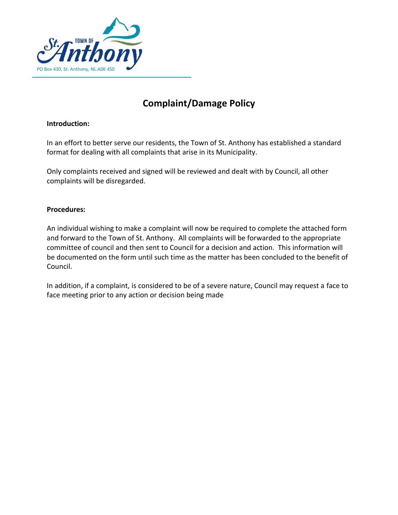

## **Complaint/Damage Policy**

## **Introduction:**

In an effort to better serve our residents, the Town of St. Anthony has established a standard format for dealing with all complaints that arise in its Municipality.

Only complaints received and signed will be reviewed and dealt with by Council, all other complaints will be disregarded.

## **Procedures:**

An individual wishing to make a complaint will now be required to complete the attached form and forward to the Town of St. Anthony. All complaints will be forwarded to the appropriate committee of council and then sent to Council for a decision and action. This information will be documented on the form until such time as the matter has been concluded to the benefit of Council.

In addition, if a complaint, is considered to be of a severe nature, Council may request a face to face meeting prior to any action or decision being made